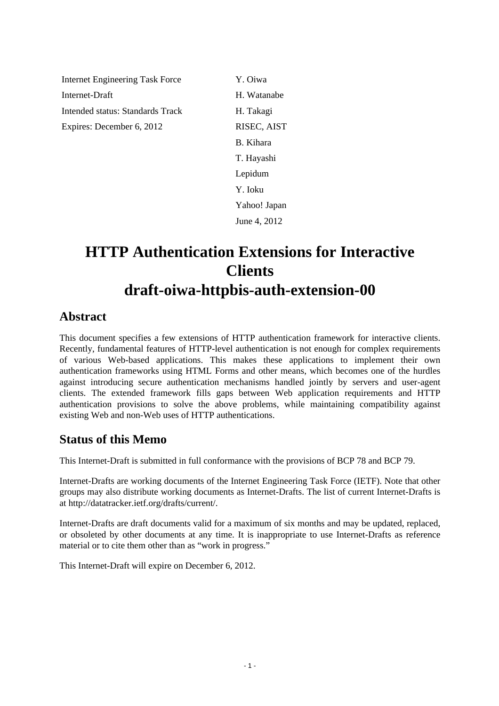Internet Engineering Task Force Y. Oiwa Internet-Draft H. Watanabe Intended status: Standards Track H. Takagi Expires: December 6, 2012 RISEC, AIST

B. Kihara T. Hayashi Lepidum Y. Ioku Yahoo! Japan June 4, 2012

# **HTTP Authentication Extensions for Interactive Clients draft-oiwa-httpbis-auth-extension-00**

## **Abstract**

This document specifies a few extensions of HTTP authentication framework for interactive clients. Recently, fundamental features of HTTP-level authentication is not enough for complex requirements of various Web-based applications. This makes these applications to implement their own authentication frameworks using HTML Forms and other means, which becomes one of the hurdles against introducing secure authentication mechanisms handled jointly by servers and user-agent clients. The extended framework fills gaps between Web application requirements and HTTP authentication provisions to solve the above problems, while maintaining compatibility against existing Web and non-Web uses of HTTP authentications.

### **Status of this Memo**

This Internet-Draft is submitted in full conformance with the provisions of BCP 78 and BCP 79.

Internet-Drafts are working documents of the Internet Engineering Task Force (IETF). Note that other groups may also distribute working documents as Internet-Drafts. The list of current Internet-Drafts is at http://datatracker.ietf.org/drafts/current/.

Internet-Drafts are draft documents valid for a maximum of six months and may be updated, replaced, or obsoleted by other documents at any time. It is inappropriate to use Internet-Drafts as reference material or to cite them other than as "work in progress."

This Internet-Draft will expire on December 6, 2012.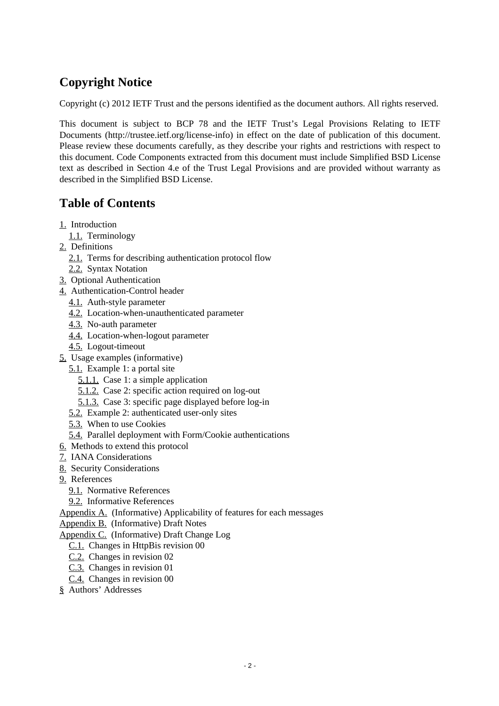## **Copyright Notice**

Copyright (c) 2012 IETF Trust and the persons identified as the document authors. All rights reserved.

This document is subject to BCP 78 and the IETF Trust's Legal Provisions Relating to IETF Documents (http://trustee.ietf.org/license-info) in effect on the date of publication of this document. Please review these documents carefully, as they describe your rights and restrictions with respect to this document. Code Components extracted from this document must include Simplified BSD License text as described in Section 4.e of the Trust Legal Provisions and are provided without warranty as described in the Simplified BSD License.

## **Table of Contents**

- [1.](#page-1-0) Introduction
	- [1.1.](#page-2-0) Terminology
- [2.](#page-2-1) Definitions
	- [2.1.](#page-2-2) Terms for describing authentication protocol flow
	- [2.2.](#page-4-0) Syntax Notation
- [3.](#page-5-0) Optional Authentication
- [4.](#page-6-0) Authentication-Control header
	- [4.1.](#page-6-1) Auth-style parameter
	- [4.2.](#page-7-0) Location-when-unauthenticated parameter
	- [4.3.](#page-8-0) No-auth parameter
	- [4.4.](#page-8-1) Location-when-logout parameter
	- [4.5.](#page-9-0) Logout-timeout
- [5.](#page-9-1) Usage examples (informative)
	- [5.1.](#page-9-2) Example 1: a portal site
		- [5.1.1.](#page-9-3) Case 1: a simple application
		- [5.1.2.](#page-10-0) Case 2: specific action required on log-out
		- [5.1.3.](#page-10-1) Case 3: specific page displayed before log-in
	- [5.2.](#page-10-2) Example 2: authenticated user-only sites
	- [5.3.](#page-11-0) When to use Cookies
	- [5.4.](#page-11-1) Parallel deployment with Form/Cookie authentications
- [6.](#page-11-2) Methods to extend this protocol
- [7.](#page-12-0) IANA Considerations
- [8.](#page-12-1) Security Considerations
- [9.](#page-12-2) References
	- [9.1.](#page-12-2) Normative References
	- [9.2.](#page-13-0) Informative References

Appendix A. (Informative) Applicability of features for each messages

[Appendix B.](#page-13-1) (Informative) Draft Notes

[Appendix C.](#page-14-0) (Informative) Draft Change Log

- [C.1.](#page-14-1) Changes in HttpBis revision 00
- [C.2.](#page-14-2) Changes in revision 02
- [C.3.](#page-14-3) Changes in revision 01
- [C.4.](#page-14-4) Changes in revision 00
- <span id="page-1-0"></span>[§](#page-14-5) Authors' Addresses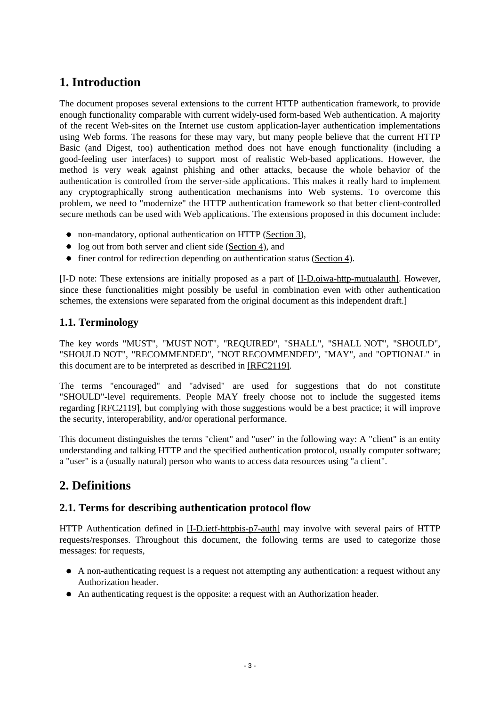## **1. Introduction**

The document proposes several extensions to the current HTTP authentication framework, to provide enough functionality comparable with current widely-used form-based Web authentication. A majority of the recent Web-sites on the Internet use custom application-layer authentication implementations using Web forms. The reasons for these may vary, but many people believe that the current HTTP Basic (and Digest, too) authentication method does not have enough functionality (including a good-feeling user interfaces) to support most of realistic Web-based applications. However, the method is very weak against phishing and other attacks, because the whole behavior of the authentication is controlled from the server-side applications. This makes it really hard to implement any cryptographically strong authentication mechanisms into Web systems. To overcome this problem, we need to "modernize" the HTTP authentication framework so that better client-controlled secure methods can be used with Web applications. The extensions proposed in this document include:

- non-mandatory, optional authentication on HTTP [\(Section 3\)](#page-5-0),
- log out from both server and client side [\(Section 4\)](#page-6-0), and
- finer control for redirection depending on authentication status [\(Section 4\)](#page-6-0).

[I-D note: These extensions are initially proposed as a part of [\[I-D.oiwa-http-mutualauth\].](#page-13-2) However, since these functionalities might possibly be useful in combination even with other authentication schemes, the extensions were separated from the original document as this independent draft.]

#### <span id="page-2-0"></span>**1.1. Terminology**

The key words "MUST", "MUST NOT", "REQUIRED", "SHALL", "SHALL NOT", "SHOULD", "SHOULD NOT", "RECOMMENDED", "NOT RECOMMENDED", "MAY", and "OPTIONAL" in this document are to be interpreted as described in [\[RFC2119\].](#page-13-2)

The terms "encouraged" and "advised" are used for suggestions that do not constitute "SHOULD"-level requirements. People MAY freely choose not to include the suggested items regarding [\[RFC2119\],](#page-13-2) but complying with those suggestions would be a best practice; it will improve the security, interoperability, and/or operational performance.

This document distinguishes the terms "client" and "user" in the following way: A "client" is an entity understanding and talking HTTP and the specified authentication protocol, usually computer software; a "user" is a (usually natural) person who wants to access data resources using "a client".

## <span id="page-2-1"></span>**2. Definitions**

#### <span id="page-2-2"></span>**2.1. Terms for describing authentication protocol flow**

HTTP Authentication defined in [\[I-D.ietf-httpbis-p7-auth\]](#page-12-3) may involve with several pairs of HTTP requests/responses. Throughout this document, the following terms are used to categorize those messages: for requests,

- A non-authenticating request is a request not attempting any authentication: a request without any Authorization header.
- An authenticating request is the opposite: a request with an Authorization header.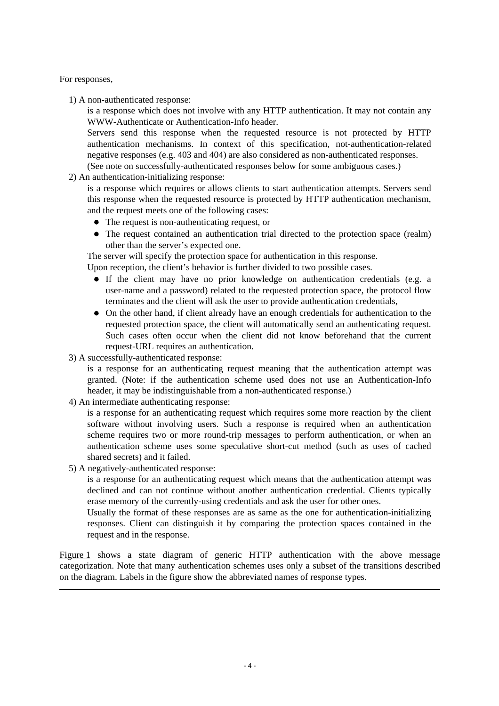For responses,

1) A non-authenticated response:

is a response which does not involve with any HTTP authentication. It may not contain any WWW-Authenticate or Authentication-Info header.

Servers send this response when the requested resource is not protected by HTTP authentication mechanisms. In context of this specification, not-authentication-related negative responses (e.g. 403 and 404) are also considered as non-authenticated responses.

(See note on successfully-authenticated responses below for some ambiguous cases.)

2) An authentication-initializing response:

is a response which requires or allows clients to start authentication attempts. Servers send this response when the requested resource is protected by HTTP authentication mechanism, and the request meets one of the following cases:

- The request is non-authenticating request, or
- The request contained an authentication trial directed to the protection space (realm) other than the server's expected one.

The server will specify the protection space for authentication in this response.

Upon reception, the client's behavior is further divided to two possible cases.

- If the client may have no prior knowledge on authentication credentials (e.g. a user-name and a password) related to the requested protection space, the protocol flow terminates and the client will ask the user to provide authentication credentials,
- On the other hand, if client already have an enough credentials for authentication to the requested protection space, the client will automatically send an authenticating request. Such cases often occur when the client did not know beforehand that the current request-URL requires an authentication.
- 3) A successfully-authenticated response:

is a response for an authenticating request meaning that the authentication attempt was granted. (Note: if the authentication scheme used does not use an Authentication-Info header, it may be indistinguishable from a non-authenticated response.)

4) An intermediate authenticating response:

is a response for an authenticating request which requires some more reaction by the client software without involving users. Such a response is required when an authentication scheme requires two or more round-trip messages to perform authentication, or when an authentication scheme uses some speculative short-cut method (such as uses of cached shared secrets) and it failed.

5) A negatively-authenticated response:

is a response for an authenticating request which means that the authentication attempt was declined and can not continue without another authentication credential. Clients typically erase memory of the currently-using credentials and ask the user for other ones.

Usually the format of these responses are as same as the one for authentication-initializing responses. Client can distinguish it by comparing the protection spaces contained in the request and in the response.

<span id="page-3-0"></span>[Figure 1](#page-3-0) shows a state diagram of generic HTTP authentication with the above message categorization. Note that many authentication schemes uses only a subset of the transitions described on the diagram. Labels in the figure show the abbreviated names of response types.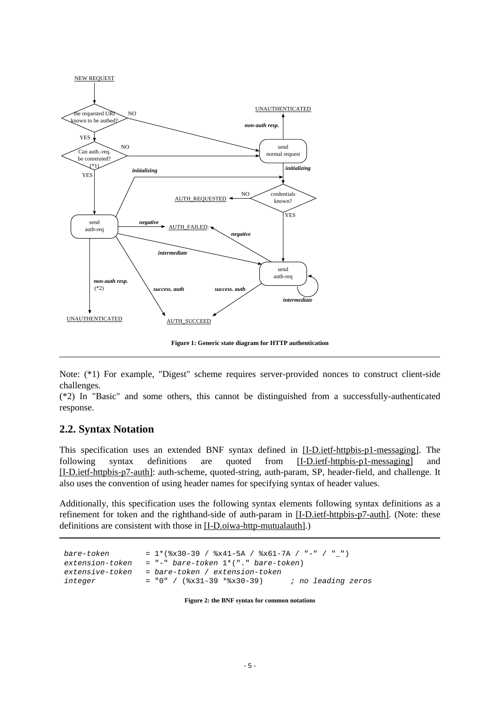

 **Figure 1: Generic state diagram for HTTP authentication** 

Note: (\*1) For example, "Digest" scheme requires server-provided nonces to construct client-side challenges.

(\*2) In "Basic" and some others, this cannot be distinguished from a successfully-authenticated response.

#### <span id="page-4-0"></span>**2.2. Syntax Notation**

This specification uses an extended BNF syntax defined in [\[I-D.ietf-httpbis-p1-messaging\].](#page-12-3) The following syntax definitions are quoted from [\[I-D.ietf-httpbis-p1-messaging\]](#page-12-3) and [\[I-D.ietf-httpbis-p7-auth\]:](#page-12-3) auth-scheme, quoted-string, auth-param, SP, header-field, and challenge. It also uses the convention of using header names for specifying syntax of header values.

Additionally, this specification uses the following syntax elements following syntax definitions as a refinement for token and the righthand-side of auth-param in [\[I-D.ietf-httpbis-p7-auth\].](#page-12-3) (Note: these definitions are consistent with those in [\[I-D.oiwa-http-mutualauth\].](#page-13-2))

| bare-token      | $= 1*(8x30-39 / 8x41-5A / 8x61-7A / "-" / "")$     |
|-----------------|----------------------------------------------------|
| extension-token | $= "-" bare-token 1*(-". "bare-token)$             |
| extensive-token | = bare-token / extension-token                     |
| integer         | ; no leading zeros<br>$= "0" /$ (%x31-39 *%x30-39) |

 **Figure 2: the BNF syntax for common notations**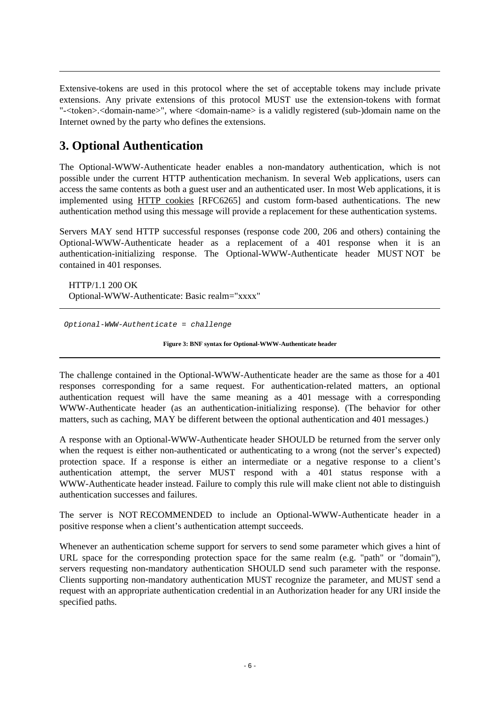Extensive-tokens are used in this protocol where the set of acceptable tokens may include private extensions. Any private extensions of this protocol MUST use the extension-tokens with format "-<token>.<domain-name>", where <domain-name> is a validly registered (sub-)domain name on the Internet owned by the party who defines the extensions.

## <span id="page-5-0"></span>**3. Optional Authentication**

The Optional-WWW-Authenticate header enables a non-mandatory authentication, which is not possible under the current HTTP authentication mechanism. In several Web applications, users can access the same contents as both a guest user and an authenticated user. In most Web applications, it is implemented using [HTTP cookies](#page-13-2) [RFC6265] and custom form-based authentications. The new authentication method using this message will provide a replacement for these authentication systems.

Servers MAY send HTTP successful responses (response code 200, 206 and others) containing the Optional-WWW-Authenticate header as a replacement of a 401 response when it is an authentication-initializing response. The Optional-WWW-Authenticate header MUST NOT be contained in 401 responses.

HTTP/1.1 200 OK Optional-WWW-Authenticate: Basic realm="xxxx"

Optional-WWW-Authenticate = challenge

 **Figure 3: BNF syntax for Optional-WWW-Authenticate header** 

The challenge contained in the Optional-WWW-Authenticate header are the same as those for a 401 responses corresponding for a same request. For authentication-related matters, an optional authentication request will have the same meaning as a 401 message with a corresponding WWW-Authenticate header (as an authentication-initializing response). (The behavior for other matters, such as caching, MAY be different between the optional authentication and 401 messages.)

A response with an Optional-WWW-Authenticate header SHOULD be returned from the server only when the request is either non-authenticated or authenticating to a wrong (not the server's expected) protection space. If a response is either an intermediate or a negative response to a client's authentication attempt, the server MUST respond with a 401 status response with a WWW-Authenticate header instead. Failure to comply this rule will make client not able to distinguish authentication successes and failures.

The server is NOT RECOMMENDED to include an Optional-WWW-Authenticate header in a positive response when a client's authentication attempt succeeds.

Whenever an authentication scheme support for servers to send some parameter which gives a hint of URL space for the corresponding protection space for the same realm (e.g. "path" or "domain"), servers requesting non-mandatory authentication SHOULD send such parameter with the response. Clients supporting non-mandatory authentication MUST recognize the parameter, and MUST send a request with an appropriate authentication credential in an Authorization header for any URI inside the specified paths.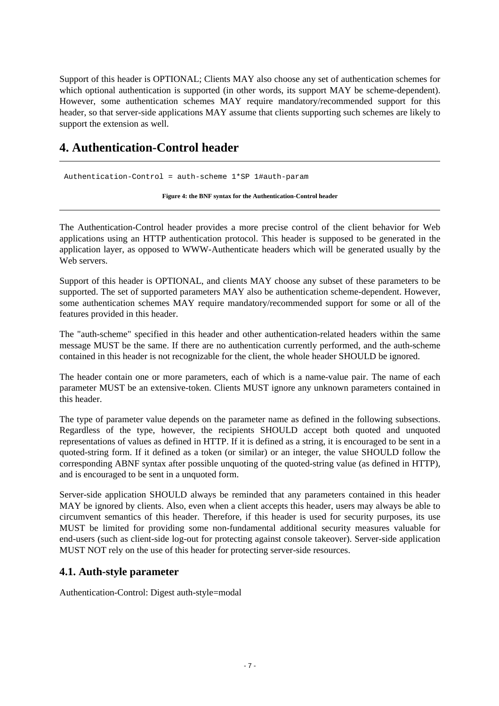Support of this header is OPTIONAL; Clients MAY also choose any set of authentication schemes for which optional authentication is supported (in other words, its support MAY be scheme-dependent). However, some authentication schemes MAY require mandatory/recommended support for this header, so that server-side applications MAY assume that clients supporting such schemes are likely to support the extension as well.

## <span id="page-6-0"></span>**4. Authentication-Control header**

Authentication-Control = auth-scheme 1\*SP 1#auth-param

 **Figure 4: the BNF syntax for the Authentication-Control header** 

The Authentication-Control header provides a more precise control of the client behavior for Web applications using an HTTP authentication protocol. This header is supposed to be generated in the application layer, as opposed to WWW-Authenticate headers which will be generated usually by the Web servers.

Support of this header is OPTIONAL, and clients MAY choose any subset of these parameters to be supported. The set of supported parameters MAY also be authentication scheme-dependent. However, some authentication schemes MAY require mandatory/recommended support for some or all of the features provided in this header.

The "auth-scheme" specified in this header and other authentication-related headers within the same message MUST be the same. If there are no authentication currently performed, and the auth-scheme contained in this header is not recognizable for the client, the whole header SHOULD be ignored.

The header contain one or more parameters, each of which is a name-value pair. The name of each parameter MUST be an extensive-token. Clients MUST ignore any unknown parameters contained in this header.

The type of parameter value depends on the parameter name as defined in the following subsections. Regardless of the type, however, the recipients SHOULD accept both quoted and unquoted representations of values as defined in HTTP. If it is defined as a string, it is encouraged to be sent in a quoted-string form. If it defined as a token (or similar) or an integer, the value SHOULD follow the corresponding ABNF syntax after possible unquoting of the quoted-string value (as defined in HTTP), and is encouraged to be sent in a unquoted form.

Server-side application SHOULD always be reminded that any parameters contained in this header MAY be ignored by clients. Also, even when a client accepts this header, users may always be able to circumvent semantics of this header. Therefore, if this header is used for security purposes, its use MUST be limited for providing some non-fundamental additional security measures valuable for end-users (such as client-side log-out for protecting against console takeover). Server-side application MUST NOT rely on the use of this header for protecting server-side resources.

#### <span id="page-6-1"></span>**4.1. Auth-style parameter**

Authentication-Control: Digest auth-style=modal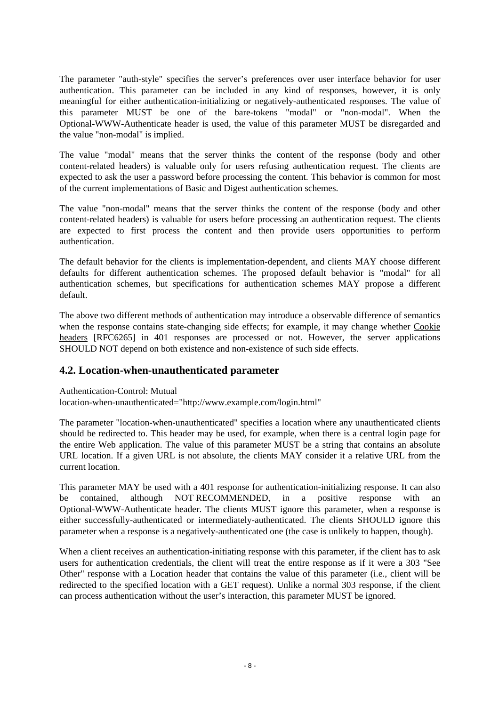The parameter "auth-style" specifies the server's preferences over user interface behavior for user authentication. This parameter can be included in any kind of responses, however, it is only meaningful for either authentication-initializing or negatively-authenticated responses. The value of this parameter MUST be one of the bare-tokens "modal" or "non-modal". When the Optional-WWW-Authenticate header is used, the value of this parameter MUST be disregarded and the value "non-modal" is implied.

The value "modal" means that the server thinks the content of the response (body and other content-related headers) is valuable only for users refusing authentication request. The clients are expected to ask the user a password before processing the content. This behavior is common for most of the current implementations of Basic and Digest authentication schemes.

The value "non-modal" means that the server thinks the content of the response (body and other content-related headers) is valuable for users before processing an authentication request. The clients are expected to first process the content and then provide users opportunities to perform authentication.

The default behavior for the clients is implementation-dependent, and clients MAY choose different defaults for different authentication schemes. The proposed default behavior is "modal" for all authentication schemes, but specifications for authentication schemes MAY propose a different default.

The above two different methods of authentication may introduce a observable difference of semantics when the response contains state-changing side effects; for example, it may change whether [Cookie](#page-13-2)  [headers](#page-13-2) [RFC6265] in 401 responses are processed or not. However, the server applications SHOULD NOT depend on both existence and non-existence of such side effects.

#### <span id="page-7-0"></span>**4.2. Location-when-unauthenticated parameter**

Authentication-Control: Mutual

location-when-unauthenticated="http://www.example.com/login.html"

The parameter "location-when-unauthenticated" specifies a location where any unauthenticated clients should be redirected to. This header may be used, for example, when there is a central login page for the entire Web application. The value of this parameter MUST be a string that contains an absolute URL location. If a given URL is not absolute, the clients MAY consider it a relative URL from the current location.

This parameter MAY be used with a 401 response for authentication-initializing response. It can also be contained, although NOT RECOMMENDED, in a positive response with an Optional-WWW-Authenticate header. The clients MUST ignore this parameter, when a response is either successfully-authenticated or intermediately-authenticated. The clients SHOULD ignore this parameter when a response is a negatively-authenticated one (the case is unlikely to happen, though).

When a client receives an authentication-initiating response with this parameter, if the client has to ask users for authentication credentials, the client will treat the entire response as if it were a 303 "See Other" response with a Location header that contains the value of this parameter (i.e., client will be redirected to the specified location with a GET request). Unlike a normal 303 response, if the client can process authentication without the user's interaction, this parameter MUST be ignored.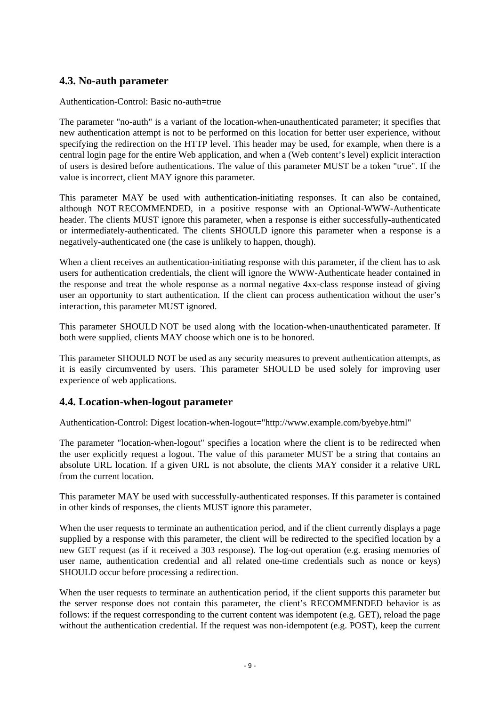#### <span id="page-8-0"></span>**4.3. No-auth parameter**

Authentication-Control: Basic no-auth=true

The parameter "no-auth" is a variant of the location-when-unauthenticated parameter; it specifies that new authentication attempt is not to be performed on this location for better user experience, without specifying the redirection on the HTTP level. This header may be used, for example, when there is a central login page for the entire Web application, and when a (Web content's level) explicit interaction of users is desired before authentications. The value of this parameter MUST be a token "true". If the value is incorrect, client MAY ignore this parameter.

This parameter MAY be used with authentication-initiating responses. It can also be contained, although NOT RECOMMENDED, in a positive response with an Optional-WWW-Authenticate header. The clients MUST ignore this parameter, when a response is either successfully-authenticated or intermediately-authenticated. The clients SHOULD ignore this parameter when a response is a negatively-authenticated one (the case is unlikely to happen, though).

When a client receives an authentication-initiating response with this parameter, if the client has to ask users for authentication credentials, the client will ignore the WWW-Authenticate header contained in the response and treat the whole response as a normal negative 4xx-class response instead of giving user an opportunity to start authentication. If the client can process authentication without the user's interaction, this parameter MUST ignored.

This parameter SHOULD NOT be used along with the location-when-unauthenticated parameter. If both were supplied, clients MAY choose which one is to be honored.

This parameter SHOULD NOT be used as any security measures to prevent authentication attempts, as it is easily circumvented by users. This parameter SHOULD be used solely for improving user experience of web applications.

#### <span id="page-8-1"></span>**4.4. Location-when-logout parameter**

Authentication-Control: Digest location-when-logout="http://www.example.com/byebye.html"

The parameter "location-when-logout" specifies a location where the client is to be redirected when the user explicitly request a logout. The value of this parameter MUST be a string that contains an absolute URL location. If a given URL is not absolute, the clients MAY consider it a relative URL from the current location.

This parameter MAY be used with successfully-authenticated responses. If this parameter is contained in other kinds of responses, the clients MUST ignore this parameter.

When the user requests to terminate an authentication period, and if the client currently displays a page supplied by a response with this parameter, the client will be redirected to the specified location by a new GET request (as if it received a 303 response). The log-out operation (e.g. erasing memories of user name, authentication credential and all related one-time credentials such as nonce or keys) SHOULD occur before processing a redirection.

When the user requests to terminate an authentication period, if the client supports this parameter but the server response does not contain this parameter, the client's RECOMMENDED behavior is as follows: if the request corresponding to the current content was idempotent (e.g. GET), reload the page without the authentication credential. If the request was non-idempotent (e.g. POST), keep the current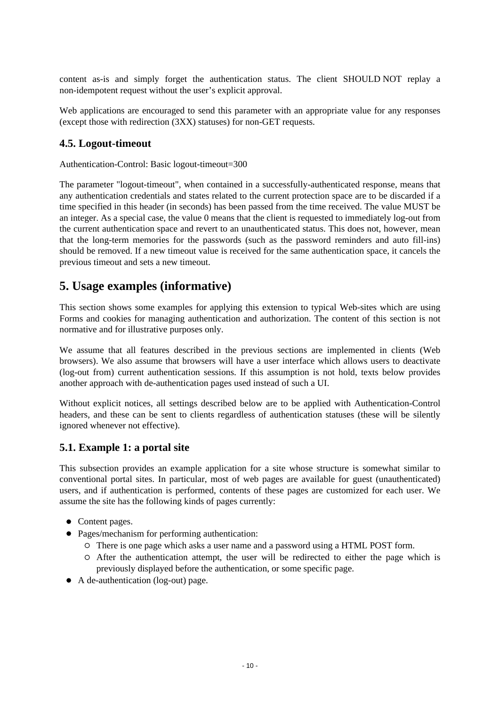content as-is and simply forget the authentication status. The client SHOULD NOT replay a non-idempotent request without the user's explicit approval.

Web applications are encouraged to send this parameter with an appropriate value for any responses (except those with redirection (3XX) statuses) for non-GET requests.

#### <span id="page-9-0"></span>**4.5. Logout-timeout**

Authentication-Control: Basic logout-timeout=300

The parameter "logout-timeout", when contained in a successfully-authenticated response, means that any authentication credentials and states related to the current protection space are to be discarded if a time specified in this header (in seconds) has been passed from the time received. The value MUST be an integer. As a special case, the value 0 means that the client is requested to immediately log-out from the current authentication space and revert to an unauthenticated status. This does not, however, mean that the long-term memories for the passwords (such as the password reminders and auto fill-ins) should be removed. If a new timeout value is received for the same authentication space, it cancels the previous timeout and sets a new timeout.

### <span id="page-9-1"></span>**5. Usage examples (informative)**

This section shows some examples for applying this extension to typical Web-sites which are using Forms and cookies for managing authentication and authorization. The content of this section is not normative and for illustrative purposes only.

We assume that all features described in the previous sections are implemented in clients (Web browsers). We also assume that browsers will have a user interface which allows users to deactivate (log-out from) current authentication sessions. If this assumption is not hold, texts below provides another approach with de-authentication pages used instead of such a UI.

Without explicit notices, all settings described below are to be applied with Authentication-Control headers, and these can be sent to clients regardless of authentication statuses (these will be silently ignored whenever not effective).

#### <span id="page-9-2"></span>**5.1. Example 1: a portal site**

This subsection provides an example application for a site whose structure is somewhat similar to conventional portal sites. In particular, most of web pages are available for guest (unauthenticated) users, and if authentication is performed, contents of these pages are customized for each user. We assume the site has the following kinds of pages currently:

- Content pages.
- Pages/mechanism for performing authentication:
	- There is one page which asks a user name and a password using a HTML POST form.
	- $\circ$  After the authentication attempt, the user will be redirected to either the page which is previously displayed before the authentication, or some specific page.
- <span id="page-9-3"></span>A de-authentication (log-out) page.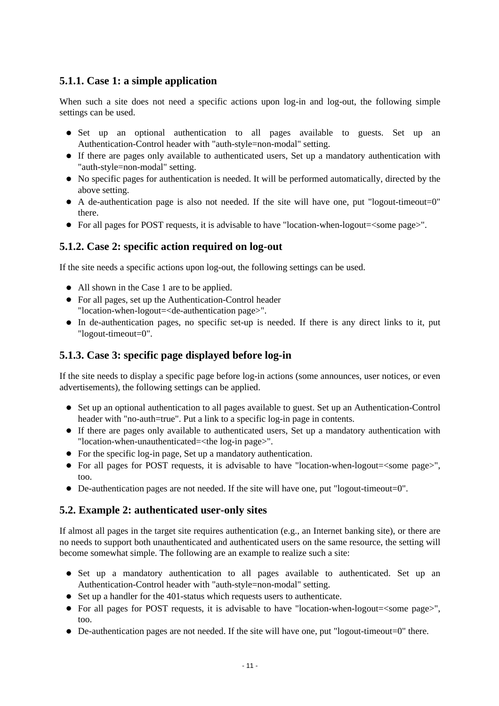#### **5.1.1. Case 1: a simple application**

When such a site does not need a specific actions upon log-in and log-out, the following simple settings can be used.

- Set up an optional authentication to all pages available to guests. Set up an Authentication-Control header with "auth-style=non-modal" setting.
- If there are pages only available to authenticated users, Set up a mandatory authentication with "auth-style=non-modal" setting.
- No specific pages for authentication is needed. It will be performed automatically, directed by the above setting.
- A de-authentication page is also not needed. If the site will have one, put "logout-timeout=0" there.
- For all pages for POST requests, it is advisable to have "location-when-logout=<some page>".

#### <span id="page-10-0"></span>**5.1.2. Case 2: specific action required on log-out**

If the site needs a specific actions upon log-out, the following settings can be used.

- All shown in the Case 1 are to be applied.
- For all pages, set up the Authentication-Control header "location-when-logout=<de-authentication page>".
- In de-authentication pages, no specific set-up is needed. If there is any direct links to it, put "logout-timeout=0".

#### <span id="page-10-1"></span>**5.1.3. Case 3: specific page displayed before log-in**

If the site needs to display a specific page before log-in actions (some announces, user notices, or even advertisements), the following settings can be applied.

- Set up an optional authentication to all pages available to guest. Set up an Authentication-Control header with "no-auth=true". Put a link to a specific log-in page in contents.
- If there are pages only available to authenticated users, Set up a mandatory authentication with "location-when-unauthenticated=<the log-in page>".
- For the specific log-in page, Set up a mandatory authentication.
- For all pages for POST requests, it is advisable to have "location-when-logout=<some page>", too.
- De-authentication pages are not needed. If the site will have one, put "logout-timeout=0".

#### <span id="page-10-2"></span>**5.2. Example 2: authenticated user-only sites**

If almost all pages in the target site requires authentication (e.g., an Internet banking site), or there are no needs to support both unauthenticated and authenticated users on the same resource, the setting will become somewhat simple. The following are an example to realize such a site:

- Set up a mandatory authentication to all pages available to authenticated. Set up an Authentication-Control header with "auth-style=non-modal" setting.
- Set up a handler for the 401-status which requests users to authenticate.
- For all pages for POST requests, it is advisable to have "location-when-logout=<some page>", too.
- De-authentication pages are not needed. If the site will have one, put "logout-timeout=0" there.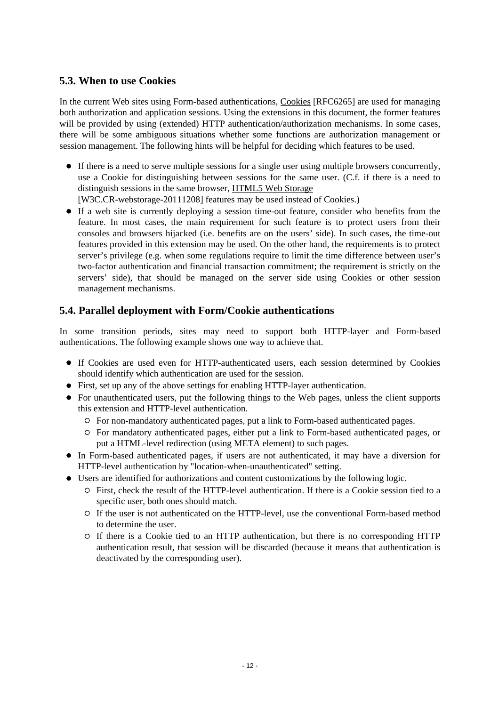#### <span id="page-11-0"></span>**5.3. When to use Cookies**

In the current Web sites using Form-based authentications, [Cookies](#page-13-2) [RFC6265] are used for managing both authorization and application sessions. Using the extensions in this document, the former features will be provided by using (extended) HTTP authentication/authorization mechanisms. In some cases, there will be some ambiguous situations whether some functions are authorization management or session management. The following hints will be helpful for deciding which features to be used.

- If there is a need to serve multiple sessions for a single user using multiple browsers concurrently, use a Cookie for distinguishing between sessions for the same user. (C.f. if there is a need to distinguish sessions in the same browser, [HTML5 Web Storage](#page-13-2) [W3C.CR-webstorage-20111208] features may be used instead of Cookies.)
- If a web site is currently deploying a session time-out feature, consider who benefits from the feature. In most cases, the main requirement for such feature is to protect users from their consoles and browsers hijacked (i.e. benefits are on the users' side). In such cases, the time-out features provided in this extension may be used. On the other hand, the requirements is to protect server's privilege (e.g. when some regulations require to limit the time difference between user's two-factor authentication and financial transaction commitment; the requirement is strictly on the servers' side), that should be managed on the server side using Cookies or other session management mechanisms.

#### <span id="page-11-1"></span>**5.4. Parallel deployment with Form/Cookie authentications**

In some transition periods, sites may need to support both HTTP-layer and Form-based authentications. The following example shows one way to achieve that.

- If Cookies are used even for HTTP-authenticated users, each session determined by Cookies should identify which authentication are used for the session.
- First, set up any of the above settings for enabling HTTP-layer authentication.
- For unauthenticated users, put the following things to the Web pages, unless the client supports this extension and HTTP-level authentication.
	- For non-mandatory authenticated pages, put a link to Form-based authenticated pages.
	- For mandatory authenticated pages, either put a link to Form-based authenticated pages, or put a HTML-level redirection (using META element) to such pages.
- In Form-based authenticated pages, if users are not authenticated, it may have a diversion for HTTP-level authentication by "location-when-unauthenticated" setting.
- <span id="page-11-2"></span>Users are identified for authorizations and content customizations by the following logic.
	- First, check the result of the HTTP-level authentication. If there is a Cookie session tied to a specific user, both ones should match.
	- If the user is not authenticated on the HTTP-level, use the conventional Form-based method to determine the user.
	- If there is a Cookie tied to an HTTP authentication, but there is no corresponding HTTP authentication result, that session will be discarded (because it means that authentication is deactivated by the corresponding user).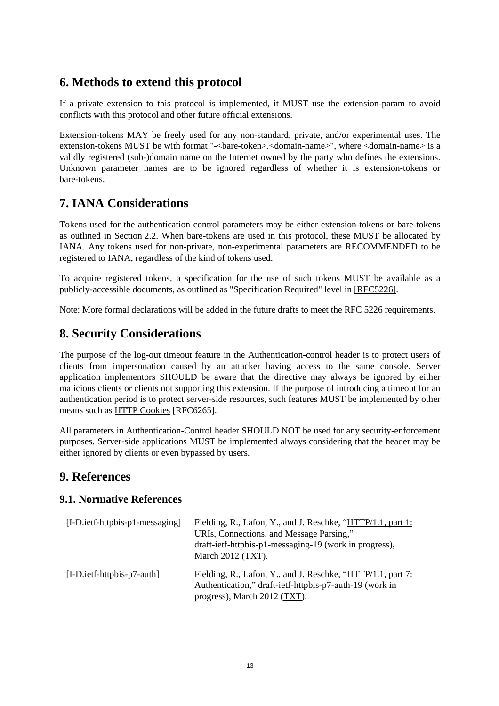## <span id="page-12-3"></span>**6. Methods to extend this protocol**

If a private extension to this protocol is implemented, it MUST use the extension-param to avoid conflicts with this protocol and other future official extensions.

Extension-tokens MAY be freely used for any non-standard, private, and/or experimental uses. The extension-tokens MUST be with format "-<br/>bare-token>.<domain-name>", where <domain-name> is a validly registered (sub-)domain name on the Internet owned by the party who defines the extensions. Unknown parameter names are to be ignored regardless of whether it is extension-tokens or bare-tokens.

## <span id="page-12-0"></span>**7. IANA Considerations**

Tokens used for the authentication control parameters may be either extension-tokens or bare-tokens as outlined in [Section 2.2.](#page-4-0) When bare-tokens are used in this protocol, these MUST be allocated by IANA. Any tokens used for non-private, non-experimental parameters are RECOMMENDED to be registered to IANA, regardless of the kind of tokens used.

To acquire registered tokens, a specification for the use of such tokens MUST be available as a publicly-accessible documents, as outlined as "Specification Required" level in [\[RFC5226\].](#page-13-2)

Note: More formal declarations will be added in the future drafts to meet the RFC 5226 requirements.

## <span id="page-12-1"></span>**8. Security Considerations**

The purpose of the log-out timeout feature in the Authentication-control header is to protect users of clients from impersonation caused by an attacker having access to the same console. Server application implementors SHOULD be aware that the directive may always be ignored by either malicious clients or clients not supporting this extension. If the purpose of introducing a timeout for an authentication period is to protect server-side resources, such features MUST be implemented by other means such as [HTTP Cookies](#page-13-2) [RFC6265].

All parameters in Authentication-Control header SHOULD NOT be used for any security-enforcement purposes. Server-side applications MUST be implemented always considering that the header may be either ignored by clients or even bypassed by users.

### **9. References**

#### <span id="page-12-2"></span>**9.1. Normative References**

| $[I-D.ietf-httbbis-p1-messaging]$ | Fielding, R., Lafon, Y., and J. Reschke, "HTTP/1.1, part 1:<br>URIs, Connections, and Message Parsing,"<br>draft-ietf-httpbis-p1-messaging-19 (work in progress),<br>March 2012 (TXT). |
|-----------------------------------|----------------------------------------------------------------------------------------------------------------------------------------------------------------------------------------|
| $[I-D.ietf-httpbis-p7-auth]$      | Fielding, R., Lafon, Y., and J. Reschke, "HTTP/1.1, part 7:<br>Authentication," draft-ietf-httpbis-p7-auth-19 (work in<br>progress), March 2012 (TXT).                                 |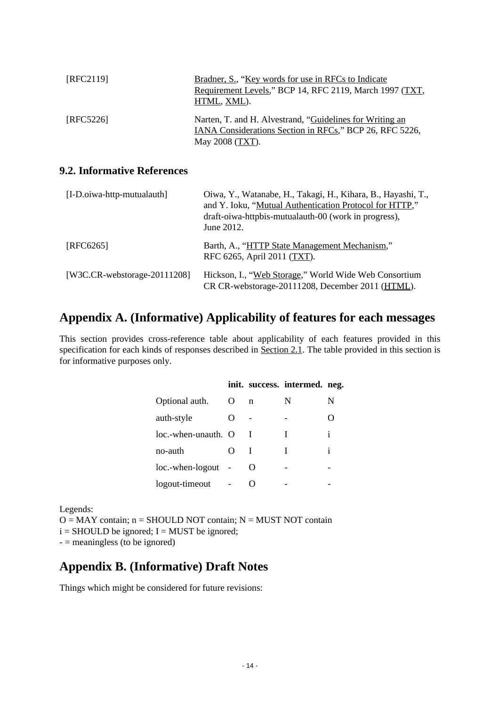<span id="page-13-2"></span>

| [RFC2119] | Bradner, S., "Key words for use in RFCs to Indicate<br>Requirement Levels," BCP 14, RFC 2119, March 1997 (TXT,<br>HTML, XML).          |
|-----------|----------------------------------------------------------------------------------------------------------------------------------------|
| [REC5226] | Narten, T. and H. Alvestrand, "Guidelines for Writing an<br>IANA Considerations Section in RFCs," BCP 26, RFC 5226,<br>May 2008 (TXT). |

#### <span id="page-13-0"></span>**9.2. Informative References**

| [I-D.oiwa-http-mutualauth]       | Oiwa, Y., Watanabe, H., Takagi, H., Kihara, B., Hayashi, T.,<br>and Y. Ioku, "Mutual Authentication Protocol for HTTP,"<br>draft-oiwa-httpbis-mutualauth-00 (work in progress),<br>June 2012. |
|----------------------------------|-----------------------------------------------------------------------------------------------------------------------------------------------------------------------------------------------|
| [REC6265]                        | Barth, A., "HTTP State Management Mechanism,"<br>RFC 6265, April 2011 (TXT).                                                                                                                  |
| [W3C.CR-webstorage- $20111208$ ] | Hickson, I., "Web Storage," World Wide Web Consortium<br>CR CR-webstorage-20111208, December 2011 (HTML).                                                                                     |

#### **Appendix A. (Informative) Applicability of features for each messages**

This section provides cross-reference table about applicability of each features provided in this specification for each kinds of responses described in [Section 2.1.](#page-2-2) The table provided in this section is for informative purposes only.

|                     |                    |                   | init. success. intermed. neg. |              |
|---------------------|--------------------|-------------------|-------------------------------|--------------|
| Optional auth.      | $\Omega$           | n                 | N                             | N            |
| auth-style          | $\left( \ \right)$ |                   |                               |              |
| loc.-when-unauth. O |                    |                   |                               | $\mathbf{1}$ |
| no-auth             | $\Omega$           |                   |                               | i            |
| loc.-when-logout    |                    | $\mathbf{\Omega}$ |                               |              |
| logout-timeout      |                    |                   |                               |              |

Legends:

 $O = MAY$  contain;  $n = SHOULD NOT$  contain;  $N = MUST NOT$  contain

 $i =$  SHOULD be ignored; I = MUST be ignored;

 $-$  = meaningless (to be ignored)

#### <span id="page-13-1"></span>**Appendix B. (Informative) Draft Notes**

Things which might be considered for future revisions: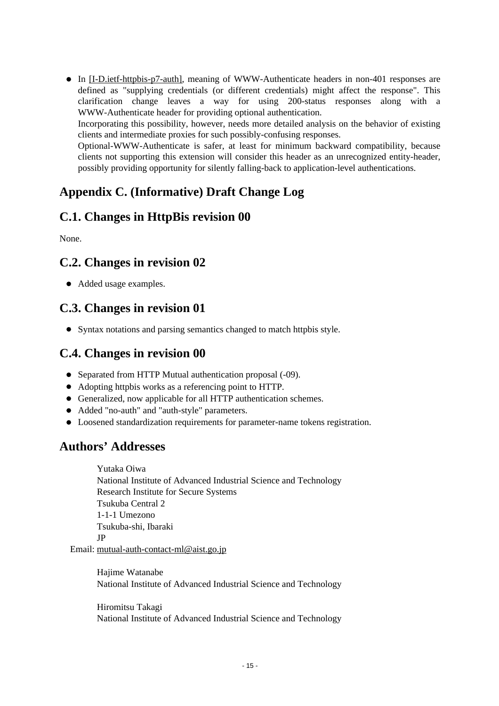In [\[I-D.ietf-httpbis-p7-auth\],](#page-12-3) meaning of WWW-Authenticate headers in non-401 responses are defined as "supplying credentials (or different credentials) might affect the response". This clarification change leaves a way for using 200-status responses along with a WWW-Authenticate header for providing optional authentication. Incorporating this possibility, however, needs more detailed analysis on the behavior of existing clients and intermediate proxies for such possibly-confusing responses. Optional-WWW-Authenticate is safer, at least for minimum backward compatibility, because clients not supporting this extension will consider this header as an unrecognized entity-header, possibly providing opportunity for silently falling-back to application-level authentications.

## <span id="page-14-0"></span>**Appendix C. (Informative) Draft Change Log**

## <span id="page-14-1"></span>**C.1. Changes in HttpBis revision 00**

None.

## <span id="page-14-2"></span>**C.2. Changes in revision 02**

Added usage examples.

## <span id="page-14-3"></span>**C.3. Changes in revision 01**

• Syntax notations and parsing semantics changed to match httpbis style.

## <span id="page-14-4"></span>**C.4. Changes in revision 00**

- Separated from HTTP Mutual authentication proposal (-09).
- Adopting httpbis works as a referencing point to HTTP.
- Generalized, now applicable for all HTTP authentication schemes.
- Added "no-auth" and "auth-style" parameters.
- Loosened standardization requirements for parameter-name tokens registration.

## <span id="page-14-5"></span>**Authors' Addresses**

 Yutaka Oiwa National Institute of Advanced Industrial Science and Technology Research Institute for Secure Systems Tsukuba Central 2 1-1-1 Umezono Tsukuba-shi, Ibaraki JP Email: mutual-auth-contact-ml@aist.go.jp

 Hajime Watanabe National Institute of Advanced Industrial Science and Technology

 Hiromitsu Takagi National Institute of Advanced Industrial Science and Technology